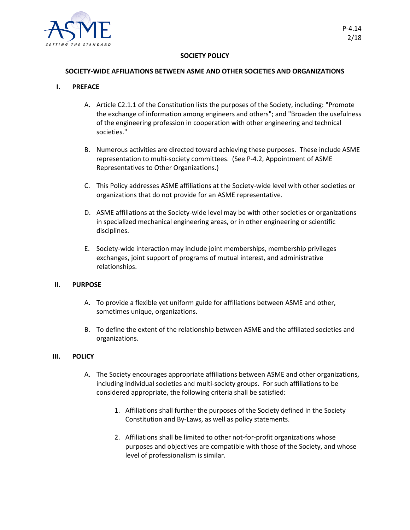

# **SOCIETY POLICY**

### **SOCIETY-WIDE AFFILIATIONS BETWEEN ASME AND OTHER SOCIETIES AND ORGANIZATIONS**

# **I. PREFACE**

- A. Article C2.1.1 of the Constitution lists the purposes of the Society, including: "Promote the exchange of information among engineers and others"; and "Broaden the usefulness of the engineering profession in cooperation with other engineering and technical societies."
- B. Numerous activities are directed toward achieving these purposes. These include ASME representation to multi-society committees. (See P-4.2, Appointment of ASME Representatives to Other Organizations.)
- C. This Policy addresses ASME affiliations at the Society-wide level with other societies or organizations that do not provide for an ASME representative.
- D. ASME affiliations at the Society-wide level may be with other societies or organizations in specialized mechanical engineering areas, or in other engineering or scientific disciplines.
- E. Society-wide interaction may include joint memberships, membership privileges exchanges, joint support of programs of mutual interest, and administrative relationships.

#### **II. PURPOSE**

- A. To provide a flexible yet uniform guide for affiliations between ASME and other, sometimes unique, organizations.
- B. To define the extent of the relationship between ASME and the affiliated societies and organizations.

#### **III. POLICY**

- A. The Society encourages appropriate affiliations between ASME and other organizations, including individual societies and multi-society groups. For such affiliations to be considered appropriate, the following criteria shall be satisfied:
	- 1. Affiliations shall further the purposes of the Society defined in the Society Constitution and By-Laws, as well as policy statements.
	- 2. Affiliations shall be limited to other not-for-profit organizations whose purposes and objectives are compatible with those of the Society, and whose level of professionalism is similar.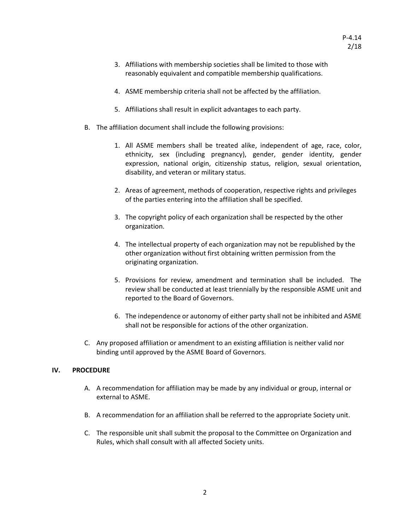- 3. Affiliations with membership societies shall be limited to those with reasonably equivalent and compatible membership qualifications.
- 4. ASME membership criteria shall not be affected by the affiliation.
- 5. Affiliations shall result in explicit advantages to each party.
- B. The affiliation document shall include the following provisions:
	- 1. All ASME members shall be treated alike, independent of age, race, color, ethnicity, sex (including pregnancy), gender, gender identity, gender expression, national origin, citizenship status, religion, sexual orientation, disability, and veteran or military status.
	- 2. Areas of agreement, methods of cooperation, respective rights and privileges of the parties entering into the affiliation shall be specified.
	- 3. The copyright policy of each organization shall be respected by the other organization.
	- 4. The intellectual property of each organization may not be republished by the other organization without first obtaining written permission from the originating organization.
	- 5. Provisions for review, amendment and termination shall be included. The review shall be conducted at least triennially by the responsible ASME unit and reported to the Board of Governors.
	- 6. The independence or autonomy of either party shall not be inhibited and ASME shall not be responsible for actions of the other organization.
- C. Any proposed affiliation or amendment to an existing affiliation is neither valid nor binding until approved by the ASME Board of Governors.

# **IV. PROCEDURE**

- A. A recommendation for affiliation may be made by any individual or group, internal or external to ASME.
- B. A recommendation for an affiliation shall be referred to the appropriate Society unit.
- C. The responsible unit shall submit the proposal to the Committee on Organization and Rules, which shall consult with all affected Society units.